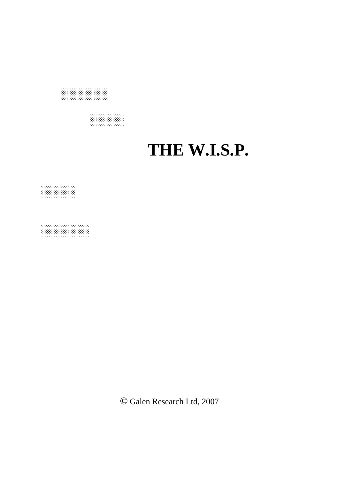

 **░░░░░**

## **THE W.I.S.P.**





**©** Galen Research Ltd, 2007